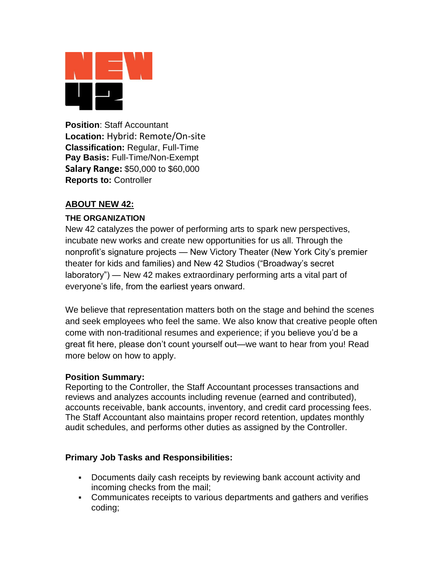

**Position**: Staff Accountant **Location:** Hybrid: Remote/On-site **Classification:** Regular, Full-Time **Pay Basis:** Full-Time/Non-Exempt **Salary Range:** \$50,000 to \$60,000 **Reports to:** Controller

# **ABOUT NEW 42:**

## **THE ORGANIZATION**

New 42 catalyzes the power of performing arts to spark new perspectives, incubate new works and create new opportunities for us all. Through the nonprofit's signature projects — New Victory Theater (New York City's premier theater for kids and families) and New 42 Studios ("Broadway's secret laboratory") — New 42 makes extraordinary performing arts a vital part of everyone's life, from the earliest years onward.

We believe that representation matters both on the stage and behind the scenes and seek employees who feel the same. We also know that creative people often come with non-traditional resumes and experience; if you believe you'd be a great fit here, please don't count yourself out—we want to hear from you! Read more below on how to apply.

### **Position Summary:**

Reporting to the Controller, the Staff Accountant processes transactions and reviews and analyzes accounts including revenue (earned and contributed), accounts receivable, bank accounts, inventory, and credit card processing fees. The Staff Accountant also maintains proper record retention, updates monthly audit schedules, and performs other duties as assigned by the Controller.

### **Primary Job Tasks and Responsibilities:**

- Documents daily cash receipts by reviewing bank account activity and incoming checks from the mail;
- Communicates receipts to various departments and gathers and verifies coding;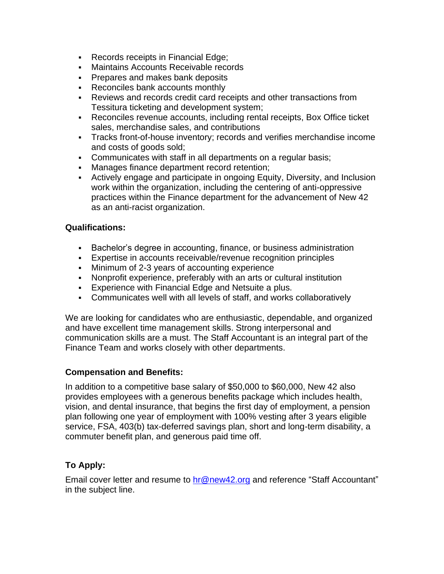- Records receipts in Financial Edge;
- **Maintains Accounts Receivable records**
- **Prepares and makes bank deposits**
- Reconciles bank accounts monthly
- Reviews and records credit card receipts and other transactions from Tessitura ticketing and development system;
- Reconciles revenue accounts, including rental receipts, Box Office ticket sales, merchandise sales, and contributions
- Tracks front-of-house inventory; records and verifies merchandise income and costs of goods sold;
- Communicates with staff in all departments on a regular basis;
- Manages finance department record retention;
- **EXECT** Actively engage and participate in ongoing Equity, Diversity, and Inclusion work within the organization, including the centering of anti-oppressive practices within the Finance department for the advancement of New 42 as an anti-racist organization.

## **Qualifications:**

- Bachelor's degree in accounting, finance, or business administration
- **Expertise in accounts receivable/revenue recognition principles**
- **Minimum of 2-3 years of accounting experience**
- Nonprofit experience, preferably with an arts or cultural institution
- **Experience with Financial Edge and Netsuite a plus.**
- Communicates well with all levels of staff, and works collaboratively

We are looking for candidates who are enthusiastic, dependable, and organized and have excellent time management skills. Strong interpersonal and communication skills are a must. The Staff Accountant is an integral part of the Finance Team and works closely with other departments.

### **Compensation and Benefits:**

In addition to a competitive base salary of \$50,000 to \$60,000, New 42 also provides employees with a generous benefits package which includes health, vision, and dental insurance, that begins the first day of employment, a pension plan following one year of employment with 100% vesting after 3 years eligible service, FSA, 403(b) tax-deferred savings plan, short and long-term disability, a commuter benefit plan, and generous paid time off.

# **To Apply:**

Email cover letter and resume to [hr@new42.org](mailto:hr@new42.org) and reference "Staff Accountant" in the subject line.